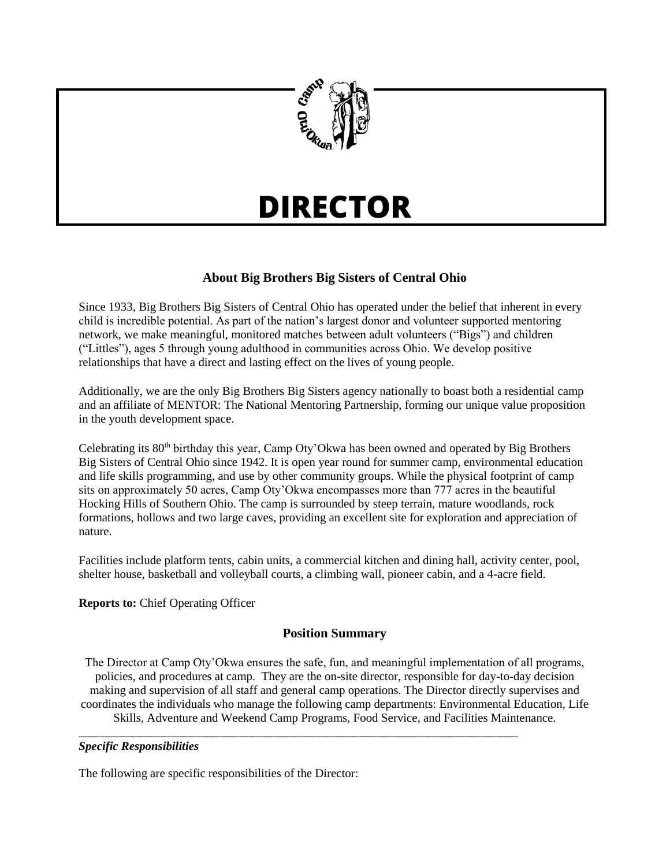

# **DIRECTOR**

# **About Big Brothers Big Sisters of Central Ohio**

Since 1933, Big Brothers Big Sisters of Central Ohio has operated under the belief that inherent in every child is incredible potential. As part of the nation's largest donor and volunteer supported mentoring network, we make meaningful, monitored matches between adult volunteers ("Bigs") and children ("Littles"), ages 5 through young adulthood in communities across Ohio. We develop positive relationships that have a direct and lasting effect on the lives of young people.

Additionally, we are the only Big Brothers Big Sisters agency nationally to boast both a residential camp and an affiliate of MENTOR: The National Mentoring Partnership, forming our unique value proposition in the youth development space.

Celebrating its  $80<sup>th</sup>$  birthday this year, Camp Oty'Okwa has been owned and operated by Big Brothers Big Sisters of Central Ohio since 1942. It is open year round for summer camp, environmental education and life skills programming, and use by other community groups. While the physical footprint of camp sits on approximately 50 acres, Camp Oty'Okwa encompasses more than 777 acres in the beautiful Hocking Hills of Southern Ohio. The camp is surrounded by steep terrain, mature woodlands, rock formations, hollows and two large caves, providing an excellent site for exploration and appreciation of nature.

Facilities include platform tents, cabin units, a commercial kitchen and dining hall, activity center, pool, shelter house, basketball and volleyball courts, a climbing wall, pioneer cabin, and a 4-acre field.

**Reports to:** Chief Operating Officer

# **Position Summary**

The Director at Camp Oty'Okwa ensures the safe, fun, and meaningful implementation of all programs, policies, and procedures at camp. They are the on-site director, responsible for day-to-day decision making and supervision of all staff and general camp operations. The Director directly supervises and coordinates the individuals who manage the following camp departments: Environmental Education, Life Skills, Adventure and Weekend Camp Programs, Food Service, and Facilities Maintenance.

\_\_\_\_\_\_\_\_\_\_\_\_\_\_\_\_\_\_\_\_\_\_\_\_\_\_\_\_\_\_\_\_\_\_\_\_\_\_\_\_\_\_\_\_\_\_\_\_\_\_\_\_\_\_\_\_\_\_\_\_\_\_\_\_\_\_\_\_\_\_\_\_\_

## *Specific Responsibilities*

The following are specific responsibilities of the Director: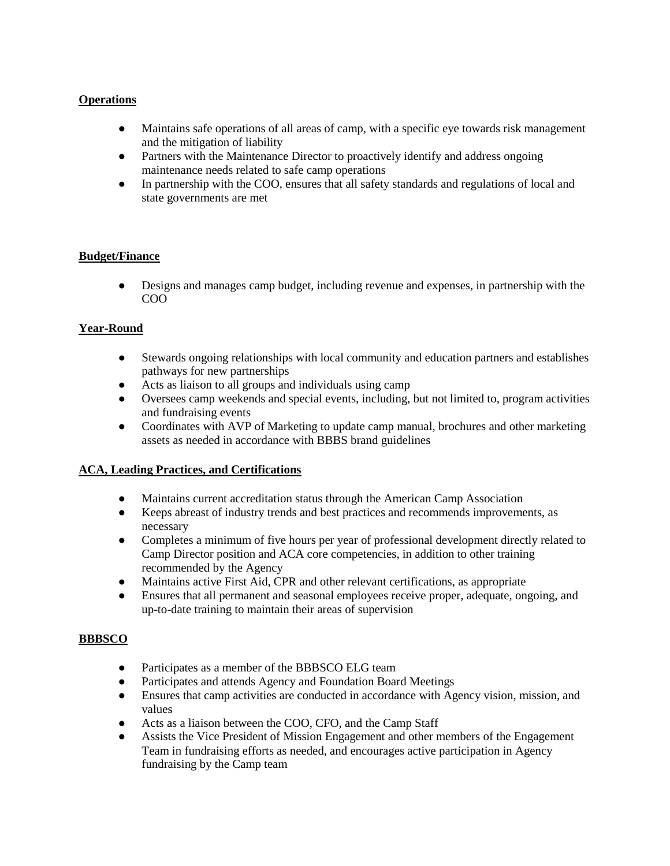## **Operations**

- **●** Maintains safe operations of all areas of camp, with a specific eye towards risk management and the mitigation of liability
- **●** Partners with the Maintenance Director to proactively identify and address ongoing maintenance needs related to safe camp operations
- **●** In partnership with the COO, ensures that all safety standards and regulations of local and state governments are met

## **Budget/Finance**

**●** Designs and manages camp budget, including revenue and expenses, in partnership with the COO

## **Year-Round**

- **●** Stewards ongoing relationships with local community and education partners and establishes pathways for new partnerships
- **●** Acts as liaison to all groups and individuals using camp
- **●** Oversees camp weekends and special events, including, but not limited to, program activities and fundraising events
- **●** Coordinates with AVP of Marketing to update camp manual, brochures and other marketing assets as needed in accordance with BBBS brand guidelines

#### **ACA, Leading Practices, and Certifications**

- **●** Maintains current accreditation status through the American Camp Association
- **●** Keeps abreast of industry trends and best practices and recommends improvements, as necessary
- **●** Completes a minimum of five hours per year of professional development directly related to Camp Director position and ACA core competencies, in addition to other training recommended by the Agency
- **●** Maintains active First Aid, CPR and other relevant certifications, as appropriate
- **●** Ensures that all permanent and seasonal employees receive proper, adequate, ongoing, and up-to-date training to maintain their areas of supervision

#### **BBBSCO**

- **●** Participates as a member of the BBBSCO ELG team
- **●** Participates and attends Agency and Foundation Board Meetings
- **●** Ensures that camp activities are conducted in accordance with Agency vision, mission, and values
- **●** Acts as a liaison between the COO, CFO, and the Camp Staff
- **●** Assists the Vice President of Mission Engagement and other members of the Engagement Team in fundraising efforts as needed, and encourages active participation in Agency fundraising by the Camp team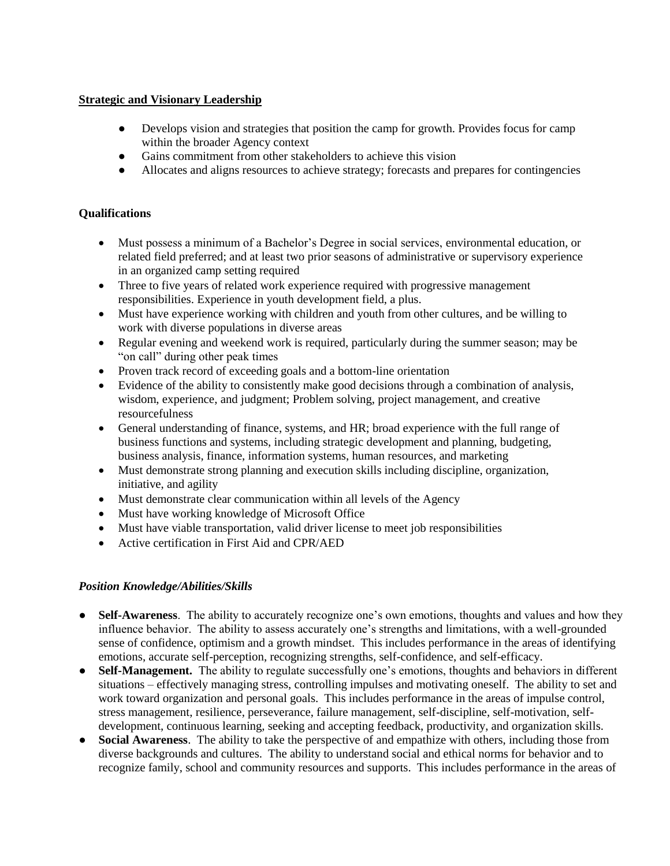## **Strategic and Visionary Leadership**

- **●** Develops vision and strategies that position the camp for growth. Provides focus for camp within the broader Agency context
- **●** Gains commitment from other stakeholders to achieve this vision
- **●** Allocates and aligns resources to achieve strategy; forecasts and prepares for contingencies

## **Qualifications**

- Must possess a minimum of a Bachelor's Degree in social services, environmental education, or related field preferred; and at least two prior seasons of administrative or supervisory experience in an organized camp setting required
- Three to five years of related work experience required with progressive management responsibilities. Experience in youth development field, a plus.
- Must have experience working with children and youth from other cultures, and be willing to work with diverse populations in diverse areas
- Regular evening and weekend work is required, particularly during the summer season; may be "on call" during other peak times
- Proven track record of exceeding goals and a bottom-line orientation
- Evidence of the ability to consistently make good decisions through a combination of analysis, wisdom, experience, and judgment; Problem solving, project management, and creative resourcefulness
- General understanding of finance, systems, and HR; broad experience with the full range of business functions and systems, including strategic development and planning, budgeting, business analysis, finance, information systems, human resources, and marketing
- Must demonstrate strong planning and execution skills including discipline, organization, initiative, and agility
- Must demonstrate clear communication within all levels of the Agency
- Must have working knowledge of Microsoft Office
- Must have viable transportation, valid driver license to meet job responsibilities
- Active certification in First Aid and CPR/AED

## *Position Knowledge/Abilities/Skills*

- **Self-Awareness**. The ability to accurately recognize one's own emotions, thoughts and values and how they influence behavior. The ability to assess accurately one's strengths and limitations, with a well-grounded sense of confidence, optimism and a growth mindset. This includes performance in the areas of identifying emotions, accurate self-perception, recognizing strengths, self-confidence, and self-efficacy.
- **Self-Management.** The ability to regulate successfully one's emotions, thoughts and behaviors in different situations – effectively managing stress, controlling impulses and motivating oneself. The ability to set and work toward organization and personal goals. This includes performance in the areas of impulse control, stress management, resilience, perseverance, failure management, self-discipline, self-motivation, selfdevelopment, continuous learning, seeking and accepting feedback, productivity, and organization skills.
- **Social Awareness**. The ability to take the perspective of and empathize with others, including those from diverse backgrounds and cultures. The ability to understand social and ethical norms for behavior and to recognize family, school and community resources and supports. This includes performance in the areas of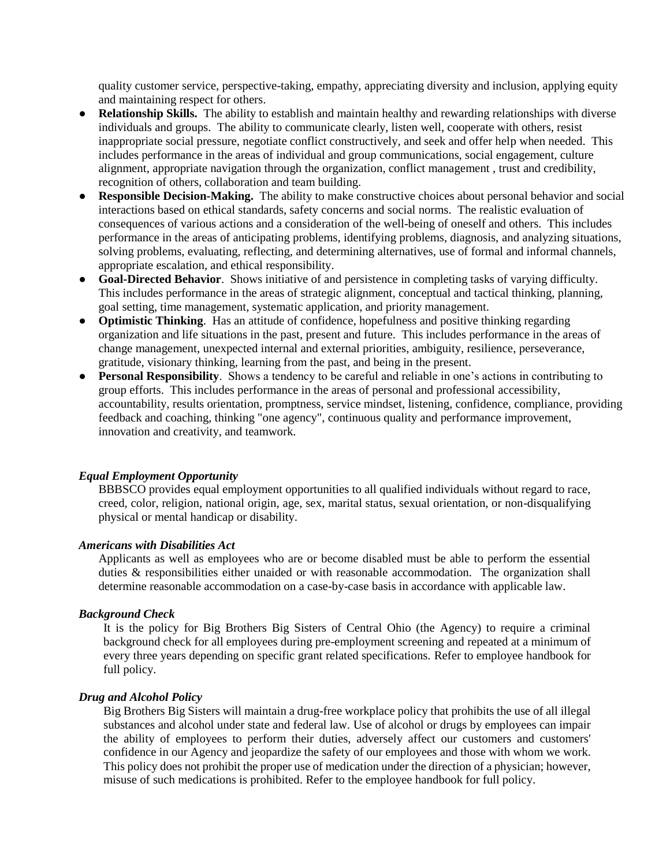quality customer service, perspective-taking, empathy, appreciating diversity and inclusion, applying equity and maintaining respect for others.

- **Relationship Skills.** The ability to establish and maintain healthy and rewarding relationships with diverse individuals and groups. The ability to communicate clearly, listen well, cooperate with others, resist inappropriate social pressure, negotiate conflict constructively, and seek and offer help when needed. This includes performance in the areas of individual and group communications, social engagement, culture alignment, appropriate navigation through the organization, conflict management , trust and credibility, recognition of others, collaboration and team building.
- **Responsible Decision-Making.** The ability to make constructive choices about personal behavior and social interactions based on ethical standards, safety concerns and social norms. The realistic evaluation of consequences of various actions and a consideration of the well-being of oneself and others. This includes performance in the areas of anticipating problems, identifying problems, diagnosis, and analyzing situations, solving problems, evaluating, reflecting, and determining alternatives, use of formal and informal channels, appropriate escalation, and ethical responsibility.
- **Goal-Directed Behavior.** Shows initiative of and persistence in completing tasks of varying difficulty. This includes performance in the areas of strategic alignment, conceptual and tactical thinking, planning, goal setting, time management, systematic application, and priority management.
- **Optimistic Thinking**. Has an attitude of confidence, hopefulness and positive thinking regarding organization and life situations in the past, present and future. This includes performance in the areas of change management, unexpected internal and external priorities, ambiguity, resilience, perseverance, gratitude, visionary thinking, learning from the past, and being in the present.
- **Personal Responsibility**. Shows a tendency to be careful and reliable in one's actions in contributing to group efforts. This includes performance in the areas of personal and professional accessibility, accountability, results orientation, promptness, service mindset, listening, confidence, compliance, providing feedback and coaching, thinking "one agency", continuous quality and performance improvement, innovation and creativity, and teamwork.

#### *Equal Employment Opportunity*

BBBSCO provides equal employment opportunities to all qualified individuals without regard to race, creed, color, religion, national origin, age, sex, marital status, sexual orientation, or non-disqualifying physical or mental handicap or disability.

#### *Americans with Disabilities Act*

Applicants as well as employees who are or become disabled must be able to perform the essential duties & responsibilities either unaided or with reasonable accommodation. The organization shall determine reasonable accommodation on a case-by-case basis in accordance with applicable law.

#### *Background Check*

It is the policy for Big Brothers Big Sisters of Central Ohio (the Agency) to require a criminal background check for all employees during pre-employment screening and repeated at a minimum of every three years depending on specific grant related specifications. Refer to employee handbook for full policy.

#### *Drug and Alcohol Policy*

Big Brothers Big Sisters will maintain a drug-free workplace policy that prohibits the use of all illegal substances and alcohol under state and federal law. Use of alcohol or drugs by employees can impair the ability of employees to perform their duties, adversely affect our customers and customers' confidence in our Agency and jeopardize the safety of our employees and those with whom we work. This policy does not prohibit the proper use of medication under the direction of a physician; however, misuse of such medications is prohibited. Refer to the employee handbook for full policy.